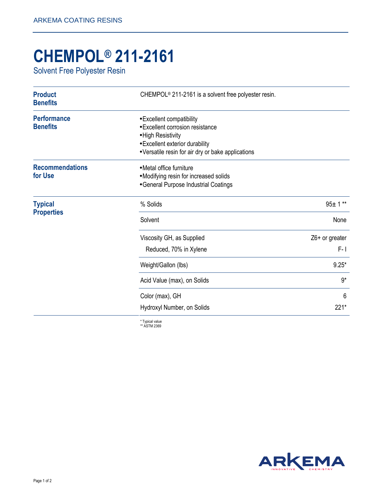## **CHEMPOL® 211-2161**

Solvent Free Polyester Resin

| <b>Product</b><br><b>Benefits</b>     | CHEMPOL <sup>®</sup> 211-2161 is a solvent free polyester resin.                                                                                                             |                |
|---------------------------------------|------------------------------------------------------------------------------------------------------------------------------------------------------------------------------|----------------|
| <b>Performance</b><br><b>Benefits</b> | • Excellent compatibility<br>· Excellent corrosion resistance<br>• High Resistivity<br>• Excellent exterior durability<br>• Versatile resin for air dry or bake applications |                |
| <b>Recommendations</b><br>for Use     | • Metal office furniture<br>• Modifying resin for increased solids<br>• General Purpose Industrial Coatings                                                                  |                |
| <b>Typical</b><br><b>Properties</b>   | % Solids                                                                                                                                                                     | $95 + 1**$     |
|                                       | Solvent                                                                                                                                                                      | None           |
|                                       | Viscosity GH, as Supplied                                                                                                                                                    | Z6+ or greater |
|                                       | Reduced, 70% in Xylene                                                                                                                                                       | $F - I$        |
|                                       | Weight/Gallon (lbs)                                                                                                                                                          | $9.25*$        |
|                                       | Acid Value (max), on Solids                                                                                                                                                  | $9*$           |
|                                       | Color (max), GH                                                                                                                                                              | 6              |
|                                       | Hydroxyl Number, on Solids                                                                                                                                                   | 221*           |
|                                       | $*$ Typical value                                                                                                                                                            |                |

\* Typical value \*\* ASTM 2369